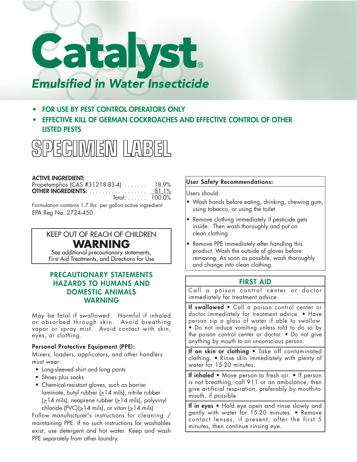

- **• FOR USE BY PEST CONTROL OPERATORS ONLY**
- **• EFFECTIVE KILL OF GERMAN COCKROACHES AND EFFECTIVE CONTROL OF OTHER LISTED PESTS**



## **ACTIVE INGREDIENT:**

| Propetamphos (CAS #31218-83-4)  18.9% |  |
|---------------------------------------|--|
|                                       |  |
| Total: $\ldots \ldots$ 100.0%         |  |

Formulation contains 1.7 lbs. per gallon active ingredient EPA Reg No. 2724-450

# KEEP OUT OF REACH OF CHILDREN **WARNING**

See additional precautionary statements, First Aid Treatments, and Directions for Use

# **PRECAUTIONARY STATEMENTS HAZARDS TO HUMANS AND DOMESTIC ANIMALS WARNING**

May be fatal if swallowed. Harmful if inhaled or absorbed through skin. Avoid breathing vapor or spray mist. Avoid contact with skin, eyes, or clothing.

## **Personal Protective Equipment (PPE):**

Mixers, loaders, applicators, and other handlers must wear:

- Long-sleeved shirt and long pants
- Shoes plus socks
- Chemical-resistant gloves, such as barrier laminate, butyl rubber  $(≥14$  mils), nitrile rubber  $\geq$ 14 mils), neoprene rubber ( $\geq$ 14 mils), polyvinyl chloride (PVC)(>14 mils), or viton (>14 mils)

Follow manufacturer's instructions for cleaning / maintaining PPE. If no such instructions for washables exist, use detergent and hot water. Keep and wash PPE separately from other laundry.

### **User Safety Recommendations:**

Users should:

- Wash hands before eating, drinking, chewing gum, using tobacco, or using the toilet.
- Remove clothing immediately if pesticide gets inside. Then wash thoroughly and put on clean clothing.
- Remove PPE immediately after handling this product. Wash the outside of gloves before removing. As soon as possible, wash thoroughly and change into clean clothing.

# **FIRST AID**

Call a poison control center or doctor immediately for treatment advice.

**If swallowed** • Call a poison control center or doctor immediately for treatment advice. • Have person sip a glass of water if able to swallow. • Do not induce vomiting unless told to do so by the poison control center or doctor. • Do not give anything by mouth to an unconscious person.

**If on skin or clothing** • Take off contaminated clothing. • Rinse skin immediately with plenty of water for 15-20 minutes.

**If inhaled** • Move person to fresh air. • If person is not breathing, call 911 or an ambulance, then give artificial respiration, preferably by mouth-tomouth, if possible.

**If in eyes** • Hold eye open and rinse slowly and gently with water for 15-20 minutes. • Remove contact lenses, if present, after the first 5 minutes, then continue rinsing eye.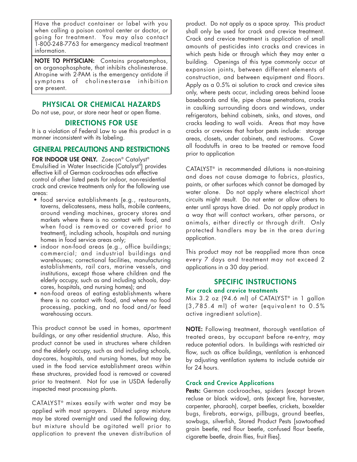Have the product container or label with you when calling a poison control center or doctor, or going for treatment. You may also contact 1-800-248-7763 for emergency medical treatment information.

**NOTE TO PHYSICIAN:** Contains propetamphos, an organophosphate, that inhibits cholinesterase. Atropine with 2-PAM is the emergency antidote if symptoms of cholinesterase inhibition are present.

# **PHYSICAL OR CHEMICAL HAZARDS**

Do not use, pour, or store near heat or open flame.

## **DIRECTIONS FOR USE**

It is a violation of Federal Law to use this product in a manner inconsistent with its labeling.

# **GENERAL PRECAUTIONS AND RESTRICTIONS**

**FOR INDOOR USE ONLY.** Zoecon® Catalyst ® Emulsified in Water Insecticide (Catalyst ®) provides effective kill of German cockroaches adn effective control of other listed pests for indoor, non-residential crack and crevice treatments only for the following use areas:

- food service establishments (e.g., restaurants, taverns, delicatessens, mess halls, mobile canteens, around vending machines, grocery stores and markets where there is no contact with food, and when food is removed or covered prior to treatment), including schools, hospitals and nursing homes in food service areas only;
- indoor non-food areas (e.g., office buildings; commercial; and industrial buildings and warehouses; correctional facilities, manufacturing establishments, rail cars, marine vessels, and institutions, except those where children and the elderly occupy, such as and including schools, daycares, hospitals, and nursing homes); and
- non-food areas of eating establishments where there is no contact with food, and where no food processing, packing, and no food and/or feed warehousing occurs.

This product cannot be used in homes, apartment buildings, or any other residential structure. Also, this product cannot be used in structures where children and the elderly occupy, such as and including schools, day-cares, hospitals, and nursing homes, but may be used in the food service establishment areas within these structures, provided food is removed or covered prior to treatment. Not for use in USDA federally inspected meat processing plants.

 $CATALYST<sup>®</sup>$  mixes easily with water and may be applied with most sprayers. Diluted spray mixture may be stored overnight and used the following day, but mixture should be agitated well prior to application to prevent the uneven distribution of product. Do not apply as a space spray. This product shall only be used for crack and crevice treatment. Crack and crevice treatment is application of small amounts of pesticides into cracks and crevices in which pests hide or through which they may enter a building. Openings of this type commonly occur at expansion joints, between different elements of construction, and between equipment and floors. Apply as a 0.5% ai solution to crack and crevice sites only, where pests occur, including areas behind loose baseboards and tile, pipe chase penetrations, cracks in caulking surrounding doors and windows, under refrigerators, behind cabinets, sinks, and stoves, and cracks leading to wall voids. Areas that may have cracks or crevices that harbor pests include: storage areas, closets, under cabinets, and restrooms. Cover all foodstuffs in area to be treated or remove food prior to application

CATALYST® in recommended dilutions is non-staining and does not cause damage to fabrics, plastics, paints, or other surfaces which cannot be damaged by water alone. Do not apply where electrical short circuits might result. Do not enter or allow others to enter until sprays have dried. Do not apply product in a way that will contact workers, other persons, or animals, either directly or through drift. Only protected handlers may be in the area during application.

This product may not be reapplied more than once every 7 days and treatment may not exceed 2 applications in a 30 day period.

# **SPECIFIC INSTRUCTIONS**

#### **For crack and crevice treatments**

Mix 3.2 oz (94.6 ml) of CATALYST® in 1 gallon  $(3,785.4 \text{ ml})$  of water (equivalent to  $0.5\%$ active ingredient solution).

**NOTE:** Following treatment, thorough ventilation of treated areas, by occupant before re-entry, may reduce potential odors. In buildings with restricted air flow, such as office buildings, ventilation is enhanced by adjusting ventilation systems to include outside air for 24 hours.

## **Crack and Crevice Applications**

Pests: German cockroaches, spiders (except brown recluse or black widow), ants (except fire, harvester, carpenter, pharaoh), carpet beetles, crickets, boxelder bugs, firebrats, earwigs, pillbugs, ground beetles, sowbugs, silverfish, Stored Product Pests [sawtoothed grain beetle, red flour beetle, confused flour beetle, cigarette beetle, drain flies, fruit flies].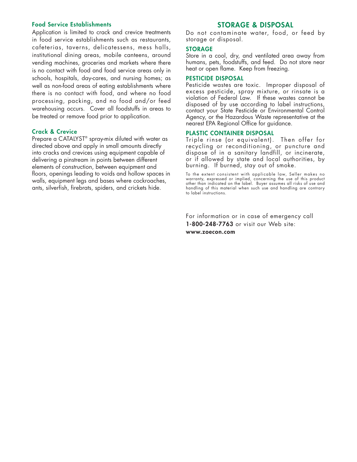#### **Food Service Establishments**

Application is limited to crack and crevice treatments in food service establishments such as restaurants, cafeterias, taverns, delicatessens, mess halls, institutional dining areas, mobile canteens, around vending machines, groceries and markets where there is no contact with food and food service areas only in schools, hospitals, day-cares, and nursing homes; as well as non-food areas of eating establishments where there is no contact with food, and where no food processing, packing, and no food and/or feed warehousing occurs. Cover all foodstuffs in areas to be treated or remove food prior to application.

#### **Crack & Crevice**

Prepare a CATALYST<sup>®</sup> spray-mix diluted with water as directed above and apply in small amounts directly into cracks and crevices using equipment capable of delivering a pinstream in points between different elements of construction, between equipment and floors, openings leading to voids and hollow spaces in walls, equipment legs and bases where cockroaches, ants, silverfish, firebrats, spiders, and crickets hide.

# **STORAGE & DISPOSAL**

Do not contaminate water, food, or feed by storage or disposal.

#### **STORAGE**

Store in a cool, dry, and ventilated area away from humans, pets, foodstuffs, and feed. Do not store near heat or open flame. Keep from freezing.

#### **PESTICIDE DISPOSAL**

Pesticide wastes are toxic. Improper disposal of excess pesticide, spray mixture, or rinsate is a violation of Federal Law. If these wastes cannot be disposed of by use according to label instructions, contact your State Pesticide or Environmental Control Agency, or the Hazardous Waste representative at the nearest EPA Regional Office for guidance.

#### **PLASTIC CONTAINER DISPOSAL**

Triple rinse (or equi valent). Then offer for recycling or reconditioning, or puncture and dispose of in a sanitary landfill, or incinerate, or if allowed by state and local authorities, by burning. If burned, stay out of smoke.

To the extent consistent with applicable law, Seller makes no warranty, expressed or implied, concerning the use of this product other than indicated on the label. Buyer assumes all risks of use and handling of this material when such use and handling are contrary to label instructions.

For information or in case of emergency call **1-800-248-7763** or visit our Web site: **www.zoecon.com**